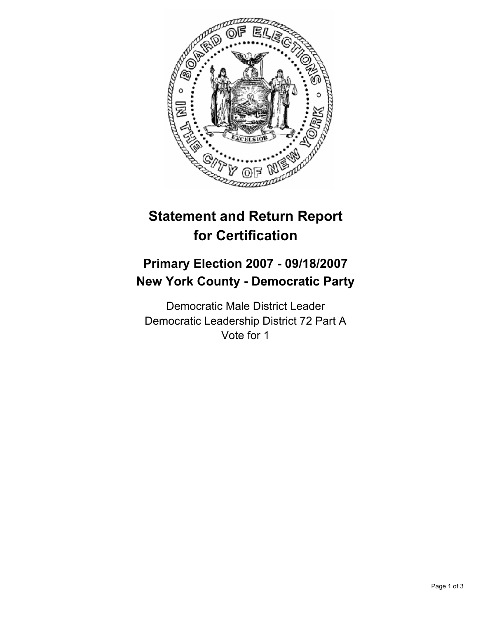

# **Statement and Return Report for Certification**

## **Primary Election 2007 - 09/18/2007 New York County - Democratic Party**

Democratic Male District Leader Democratic Leadership District 72 Part A Vote for 1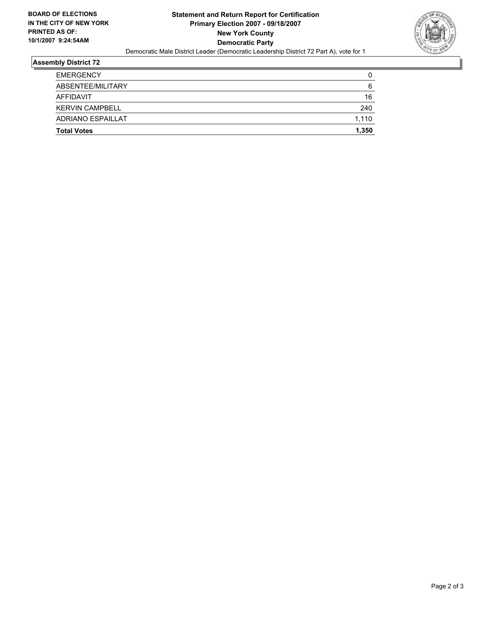

## **Assembly District 72**

| <b>EMERGENCY</b>         |       |
|--------------------------|-------|
| ABSENTEE/MILITARY        | 6     |
| AFFIDAVIT                | 16    |
| <b>KERVIN CAMPBELL</b>   | 240   |
| <b>ADRIANO ESPAILLAT</b> | 1,110 |
| <b>Total Votes</b>       | 1,350 |